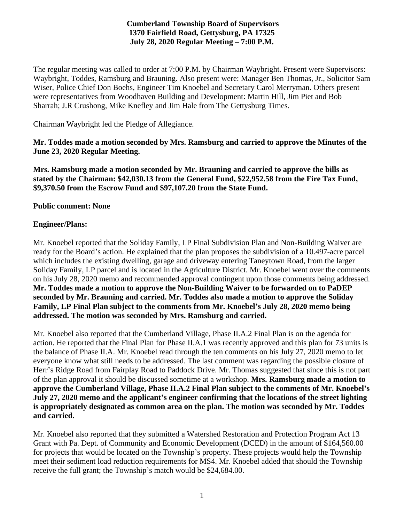## **Cumberland Township Board of Supervisors 1370 Fairfield Road, Gettysburg, PA 17325 July 28, 2020 Regular Meeting – 7:00 P.M.**

The regular meeting was called to order at 7:00 P.M. by Chairman Waybright. Present were Supervisors: Waybright, Toddes, Ramsburg and Brauning. Also present were: Manager Ben Thomas, Jr., Solicitor Sam Wiser, Police Chief Don Boehs, Engineer Tim Knoebel and Secretary Carol Merryman. Others present were representatives from Woodhaven Building and Development: Martin Hill, Jim Piet and Bob Sharrah; J.R Crushong, Mike Knefley and Jim Hale from The Gettysburg Times.

Chairman Waybright led the Pledge of Allegiance.

**Mr. Toddes made a motion seconded by Mrs. Ramsburg and carried to approve the Minutes of the June 23, 2020 Regular Meeting.**

**Mrs. Ramsburg made a motion seconded by Mr. Brauning and carried to approve the bills as stated by the Chairman: \$42,030.13 from the General Fund, \$22,952.58 from the Fire Tax Fund, \$9,370.50 from the Escrow Fund and \$97,107.20 from the State Fund.**

#### **Public comment: None**

#### **Engineer/Plans:**

Mr. Knoebel reported that the Soliday Family, LP Final Subdivision Plan and Non-Building Waiver are ready for the Board's action. He explained that the plan proposes the subdivision of a 10.497-acre parcel which includes the existing dwelling, garage and driveway entering Taneytown Road, from the larger Soliday Family, LP parcel and is located in the Agriculture District. Mr. Knoebel went over the comments on his July 28, 2020 memo and recommended approval contingent upon those comments being addressed. **Mr. Toddes made a motion to approve the Non-Building Waiver to be forwarded on to PaDEP seconded by Mr. Brauning and carried. Mr. Toddes also made a motion to approve the Soliday Family, LP Final Plan subject to the comments from Mr. Knoebel's July 28, 2020 memo being addressed. The motion was seconded by Mrs. Ramsburg and carried.** 

Mr. Knoebel also reported that the Cumberland Village, Phase II.A.2 Final Plan is on the agenda for action. He reported that the Final Plan for Phase II.A.1 was recently approved and this plan for 73 units is the balance of Phase II.A. Mr. Knoebel read through the ten comments on his July 27, 2020 memo to let everyone know what still needs to be addressed. The last comment was regarding the possible closure of Herr's Ridge Road from Fairplay Road to Paddock Drive. Mr. Thomas suggested that since this is not part of the plan approval it should be discussed sometime at a workshop. **Mrs. Ramsburg made a motion to approve the Cumberland Village, Phase II.A.2 Final Plan subject to the comments of Mr. Knoebel's July 27, 2020 memo and the applicant's engineer confirming that the locations of the street lighting is appropriately designated as common area on the plan. The motion was seconded by Mr. Toddes and carried.**

Mr. Knoebel also reported that they submitted a Watershed Restoration and Protection Program Act 13 Grant with Pa. Dept. of Community and Economic Development (DCED) in the amount of \$164,560.00 for projects that would be located on the Township's property. These projects would help the Township meet their sediment load reduction requirements for MS4. Mr. Knoebel added that should the Township receive the full grant; the Township's match would be \$24,684.00.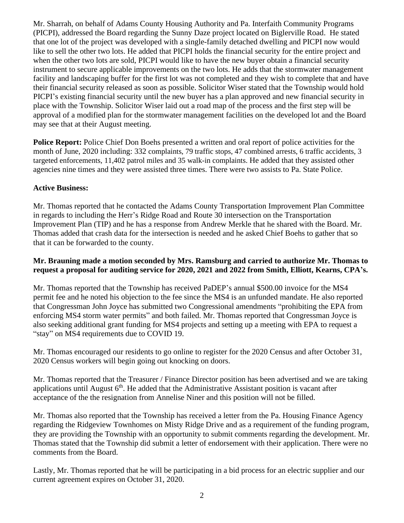Mr. Sharrah, on behalf of Adams County Housing Authority and Pa. Interfaith Community Programs (PICPI), addressed the Board regarding the Sunny Daze project located on Biglerville Road. He stated that one lot of the project was developed with a single-family detached dwelling and PICPI now would like to sell the other two lots. He added that PICPI holds the financial security for the entire project and when the other two lots are sold, PICPI would like to have the new buyer obtain a financial security instrument to secure applicable improvements on the two lots. He adds that the stormwater management facility and landscaping buffer for the first lot was not completed and they wish to complete that and have their financial security released as soon as possible. Solicitor Wiser stated that the Township would hold PICPI's existing financial security until the new buyer has a plan approved and new financial security in place with the Township. Solicitor Wiser laid out a road map of the process and the first step will be approval of a modified plan for the stormwater management facilities on the developed lot and the Board may see that at their August meeting.

**Police Report:** Police Chief Don Boehs presented a written and oral report of police activities for the month of June, 2020 including: 332 complaints, 79 traffic stops, 47 combined arrests, 6 traffic accidents, 3 targeted enforcements, 11,402 patrol miles and 35 walk-in complaints. He added that they assisted other agencies nine times and they were assisted three times. There were two assists to Pa. State Police.

## **Active Business:**

Mr. Thomas reported that he contacted the Adams County Transportation Improvement Plan Committee in regards to including the Herr's Ridge Road and Route 30 intersection on the Transportation Improvement Plan (TIP) and he has a response from Andrew Merkle that he shared with the Board. Mr. Thomas added that crash data for the intersection is needed and he asked Chief Boehs to gather that so that it can be forwarded to the county.

#### **Mr. Brauning made a motion seconded by Mrs. Ramsburg and carried to authorize Mr. Thomas to request a proposal for auditing service for 2020, 2021 and 2022 from Smith, Elliott, Kearns, CPA's.**

Mr. Thomas reported that the Township has received PaDEP's annual \$500.00 invoice for the MS4 permit fee and he noted his objection to the fee since the MS4 is an unfunded mandate. He also reported that Congressman John Joyce has submitted two Congressional amendments "prohibiting the EPA from enforcing MS4 storm water permits" and both failed. Mr. Thomas reported that Congressman Joyce is also seeking additional grant funding for MS4 projects and setting up a meeting with EPA to request a "stay" on MS4 requirements due to COVID 19.

Mr. Thomas encouraged our residents to go online to register for the 2020 Census and after October 31, 2020 Census workers will begin going out knocking on doors.

Mr. Thomas reported that the Treasurer / Finance Director position has been advertised and we are taking applications until August  $6<sup>th</sup>$ . He added that the Administrative Assistant position is vacant after acceptance of the the resignation from Annelise Niner and this position will not be filled.

Mr. Thomas also reported that the Township has received a letter from the Pa. Housing Finance Agency regarding the Ridgeview Townhomes on Misty Ridge Drive and as a requirement of the funding program, they are providing the Township with an opportunity to submit comments regarding the development. Mr. Thomas stated that the Township did submit a letter of endorsement with their application. There were no comments from the Board.

Lastly, Mr. Thomas reported that he will be participating in a bid process for an electric supplier and our current agreement expires on October 31, 2020.